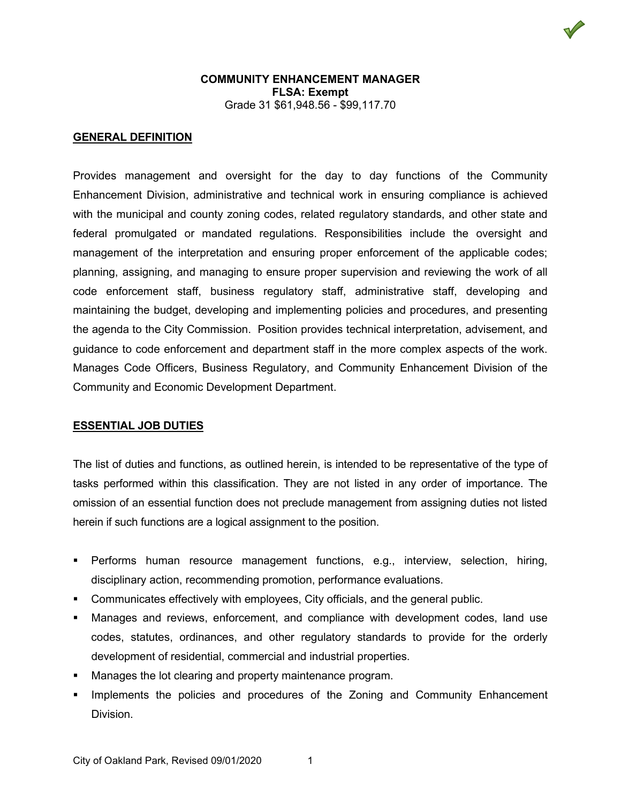

# **GENERAL DEFINITION**

Provides management and oversight for the day to day functions of the Community Enhancement Division, administrative and technical work in ensuring compliance is achieved with the municipal and county zoning codes, related regulatory standards, and other state and federal promulgated or mandated regulations. Responsibilities include the oversight and management of the interpretation and ensuring proper enforcement of the applicable codes; planning, assigning, and managing to ensure proper supervision and reviewing the work of all code enforcement staff, business regulatory staff, administrative staff, developing and maintaining the budget, developing and implementing policies and procedures, and presenting the agenda to the City Commission. Position provides technical interpretation, advisement, and guidance to code enforcement and department staff in the more complex aspects of the work. Manages Code Officers, Business Regulatory, and Community Enhancement Division of the Community and Economic Development Department.

#### **ESSENTIAL JOB DUTIES**

The list of duties and functions, as outlined herein, is intended to be representative of the type of tasks performed within this classification. They are not listed in any order of importance. The omission of an essential function does not preclude management from assigning duties not listed herein if such functions are a logical assignment to the position.

- Performs human resource management functions, e.g., interview, selection, hiring, disciplinary action, recommending promotion, performance evaluations.
- Communicates effectively with employees, City officials, and the general public.
- Manages and reviews, enforcement, and compliance with development codes, land use codes, statutes, ordinances, and other regulatory standards to provide for the orderly development of residential, commercial and industrial properties.
- Manages the lot clearing and property maintenance program.
- Implements the policies and procedures of the Zoning and Community Enhancement Division.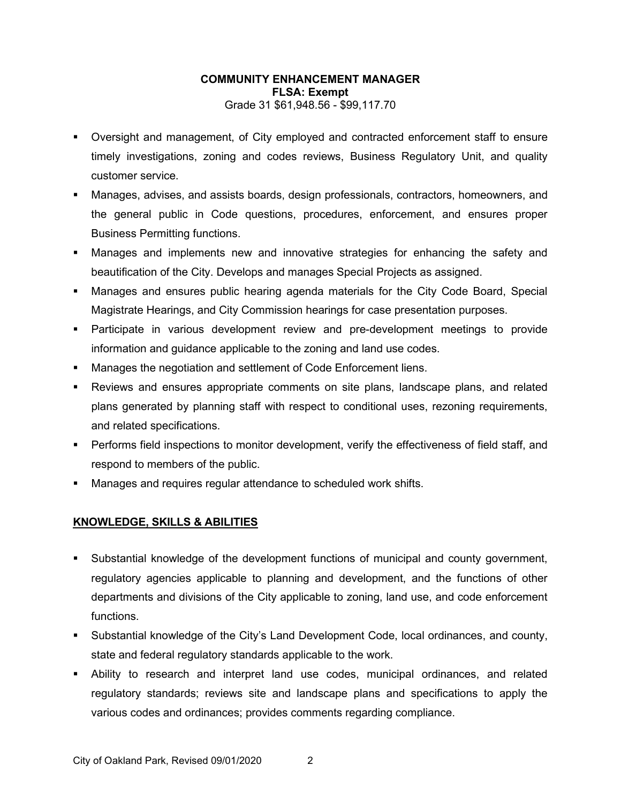- Oversight and management, of City employed and contracted enforcement staff to ensure timely investigations, zoning and codes reviews, Business Regulatory Unit, and quality customer service.
- Manages, advises, and assists boards, design professionals, contractors, homeowners, and the general public in Code questions, procedures, enforcement, and ensures proper Business Permitting functions.
- Manages and implements new and innovative strategies for enhancing the safety and beautification of the City. Develops and manages Special Projects as assigned.
- Manages and ensures public hearing agenda materials for the City Code Board, Special Magistrate Hearings, and City Commission hearings for case presentation purposes.
- Participate in various development review and pre-development meetings to provide information and guidance applicable to the zoning and land use codes.
- Manages the negotiation and settlement of Code Enforcement liens.
- Reviews and ensures appropriate comments on site plans, landscape plans, and related plans generated by planning staff with respect to conditional uses, rezoning requirements, and related specifications.
- Performs field inspections to monitor development, verify the effectiveness of field staff, and respond to members of the public.
- Manages and requires regular attendance to scheduled work shifts.

# **KNOWLEDGE, SKILLS & ABILITIES**

- Substantial knowledge of the development functions of municipal and county government, regulatory agencies applicable to planning and development, and the functions of other departments and divisions of the City applicable to zoning, land use, and code enforcement functions.
- Substantial knowledge of the City's Land Development Code, local ordinances, and county, state and federal regulatory standards applicable to the work.
- Ability to research and interpret land use codes, municipal ordinances, and related regulatory standards; reviews site and landscape plans and specifications to apply the various codes and ordinances; provides comments regarding compliance.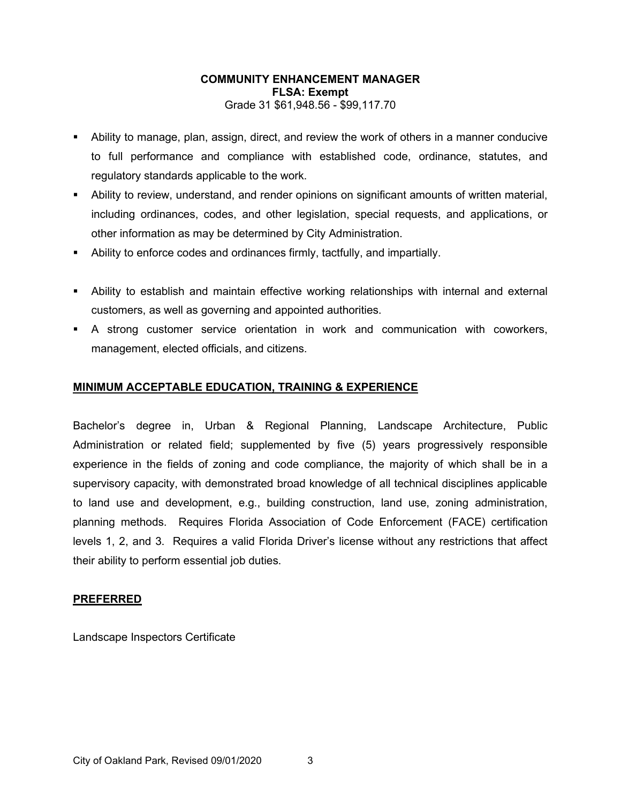- Ability to manage, plan, assign, direct, and review the work of others in a manner conducive to full performance and compliance with established code, ordinance, statutes, and regulatory standards applicable to the work.
- Ability to review, understand, and render opinions on significant amounts of written material, including ordinances, codes, and other legislation, special requests, and applications, or other information as may be determined by City Administration.
- Ability to enforce codes and ordinances firmly, tactfully, and impartially.
- Ability to establish and maintain effective working relationships with internal and external customers, as well as governing and appointed authorities.
- A strong customer service orientation in work and communication with coworkers, management, elected officials, and citizens.

# **MINIMUM ACCEPTABLE EDUCATION, TRAINING & EXPERIENCE**

Bachelor's degree in, Urban & Regional Planning, Landscape Architecture, Public Administration or related field; supplemented by five (5) years progressively responsible experience in the fields of zoning and code compliance, the majority of which shall be in a supervisory capacity, with demonstrated broad knowledge of all technical disciplines applicable to land use and development, e.g., building construction, land use, zoning administration, planning methods. Requires Florida Association of Code Enforcement (FACE) certification levels 1, 2, and 3. Requires a valid Florida Driver's license without any restrictions that affect their ability to perform essential job duties.

#### **PREFERRED**

Landscape Inspectors Certificate